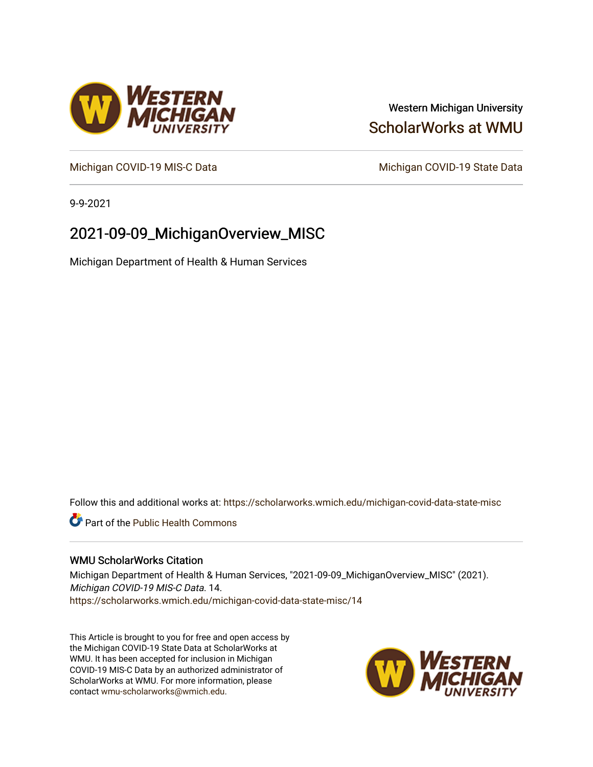## Western Michigan University [ScholarWorks at WMU](https://scholarworks.wmich.edu/)

[Michigan COVID-19 MIS-C Data](https://scholarworks.wmich.edu/michigan-covid-data-state-misc) Michigan COVID-19 State Data

9-9-2021

## 2021-09-09\_MichiganOverview\_MISC

Michigan Department of Health & Human Services

Follow this and additional works at: [https://scholarworks.wmich.edu/michigan-covid-data-state-misc](https://scholarworks.wmich.edu/michigan-covid-data-state-misc?utm_source=scholarworks.wmich.edu%2Fmichigan-covid-data-state-misc%2F14&utm_medium=PDF&utm_campaign=PDFCoverPages) 

**Part of the Public Health Commons** 

#### WMU ScholarWorks Citation

Michigan Department of Health & Human Services, "2021-09-09\_MichiganOverview\_MISC" (2021). Michigan COVID-19 MIS-C Data. 14. [https://scholarworks.wmich.edu/michigan-covid-data-state-misc/14](https://scholarworks.wmich.edu/michigan-covid-data-state-misc/14?utm_source=scholarworks.wmich.edu%2Fmichigan-covid-data-state-misc%2F14&utm_medium=PDF&utm_campaign=PDFCoverPages)

This Article is brought to you for free and open access by the Michigan COVID-19 State Data at ScholarWorks at WMU. It has been accepted for inclusion in Michigan COVID-19 MIS-C Data by an authorized administrator of ScholarWorks at WMU. For more information, please contact [wmu-scholarworks@wmich.edu](mailto:wmu-scholarworks@wmich.edu).



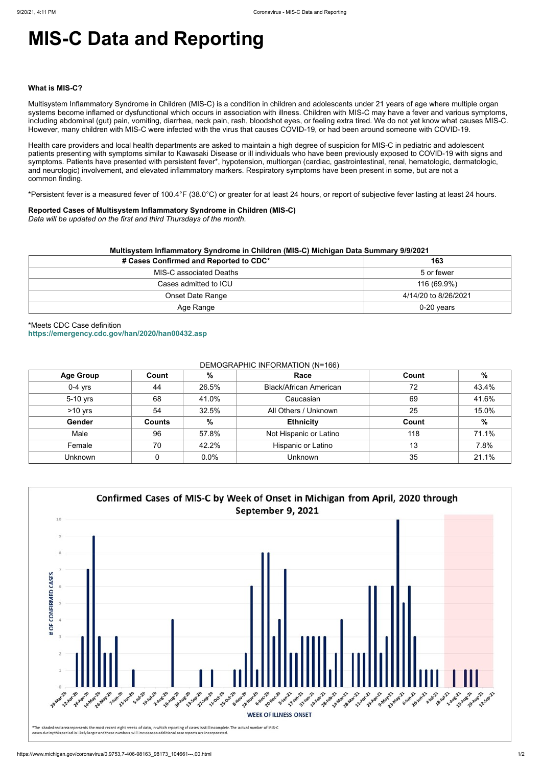# **MIS-C Data and Reporting**

#### **What is MIS-C?**

Multisystem Inflammatory Syndrome in Children (MIS-C) is a condition in children and adolescents under 21 years of age where multiple organ systems become inflamed or dysfunctional which occurs in association with illness. Children with MIS-C may have a fever and various symptoms, including abdominal (gut) pain, vomiting, diarrhea, neck pain, rash, bloodshot eyes, or feeling extra tired. We do not yet know what causes MIS-C. However, many children with MIS-C were infected with the virus that causes COVID-19, or had been around someone with COVID-19.

Health care providers and local health departments are asked to maintain a high degree of suspicion for MIS-C in pediatric and adolescent patients presenting with symptoms similar to Kawasaki Disease or ill individuals who have been previously exposed to COVID-19 with signs and symptoms. Patients have presented with persistent fever\*, hypotension, multiorgan (cardiac, gastrointestinal, renal, hematologic, dermatologic, and neurologic) involvement, and elevated inflammatory markers. Respiratory symptoms have been present in some, but are not a common finding.

\*Persistent fever is a measured fever of 100.4°F (38.0°C) or greater for at least 24 hours, or report of subjective fever lasting at least 24 hours.

#### **Reported Cases of Multisystem Inflammatory Syndrome in Children (MIS-C)**

*Data will be updated on the first and third Thursdays of the month.*

| Multisystem Inflammatory Syndrome in Children (MIS-C) Michigan Data Summary 9/9/2021 |                      |  |  |  |
|--------------------------------------------------------------------------------------|----------------------|--|--|--|
| # Cases Confirmed and Reported to CDC*                                               | 163                  |  |  |  |
| <b>MIS-C associated Deaths</b>                                                       | 5 or fewer           |  |  |  |
| Cases admitted to ICU                                                                | 116 (69.9%)          |  |  |  |
| Onset Date Range                                                                     | 4/14/20 to 8/26/2021 |  |  |  |
| Age Range                                                                            | $0-20$ years         |  |  |  |

\*Meets CDC Case definition **<https://emergency.cdc.gov/han/2020/han00432.asp>**

#### DEMOGRAPHIC INFORMATION (N=166)

| <b>Age Group</b> | Count         | %             | Race                          | Count | $\%$  |
|------------------|---------------|---------------|-------------------------------|-------|-------|
| $0-4$ yrs        | 44            | 26.5%         | <b>Black/African American</b> | 72    | 43.4% |
| 5-10 yrs         | 68            | 41.0%         | Caucasian                     | 69    | 41.6% |
| $>10$ yrs        | 54            | 32.5%         | All Others / Unknown          | 25    | 15.0% |
| Gender           | <b>Counts</b> | $\frac{0}{0}$ | <b>Ethnicity</b>              | Count | $\%$  |
| Male             | 96            | 57.8%         | Not Hispanic or Latino        | 118   | 71.1% |
| Female           | 70            | 42.2%         | Hispanic or Latino            | 13    | 7.8%  |
| Unknown          |               | 0.0%          | <b>Unknown</b>                | 35    | 21.1% |